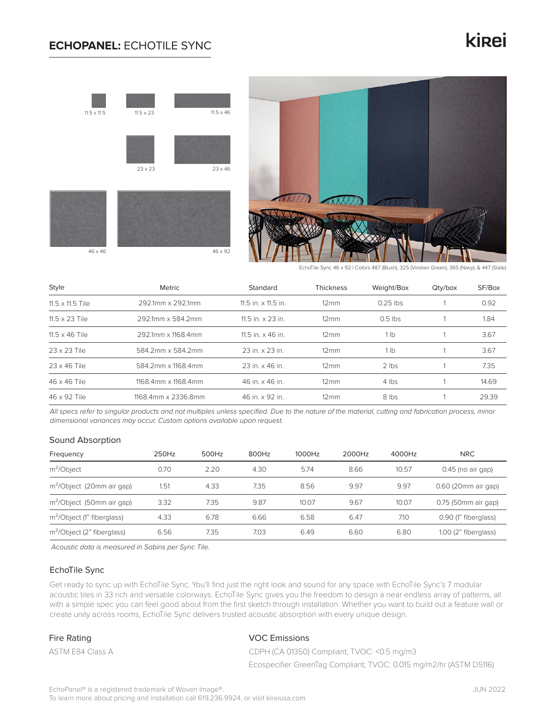### **ECHOPANEL:** ECHOTILE SYNC

# kinei





EchoTile Sync 46 x 92 | Colors 487 (Blush), 325 (Viridian Green), 365 (Navy), & 447 (Slate)

| Style                   | Metric              | Standard                   | Thickness           | Weight/Box      | Qty/box | SF/Box |
|-------------------------|---------------------|----------------------------|---------------------|-----------------|---------|--------|
| $11.5 \times 11.5$ Tile | 292.1mm x 292.1mm   | 11.5 in. $\times$ 11.5 in. | $12 \, \mathrm{mm}$ | $0.25$ lbs      |         | 0.92   |
| $11.5 \times 23$ Tile   | 292.1mm x 584.2mm   | 11.5 in. $\times$ 23 in.   | $12 \,\mathrm{mm}$  | $0.5$ lbs       |         | 1.84   |
| $11.5 \times 46$ Tile   | 292.1mm x 1168.4mm  | 11.5 in. $\times$ 46 in.   | $12 \text{mm}$      | 1 <sub>lb</sub> |         | 3.67   |
| 23 x 23 Tile            | 584.2mm x 584.2mm   | 23 in. x 23 in.            | $12 \text{mm}$      | 1 <sub>lh</sub> |         | 3.67   |
| $23 \times 46$ Tile     | 584.2mm x 1168.4mm  | 23 in. x 46 in.            | $12 \text{mm}$      | $2$ lbs         |         | 7.35   |
| 46 x 46 Tile            | 1168.4mm x 1168.4mm | 46 in. x 46 in.            | $12 \text{mm}$      | 4 lbs           |         | 14.69  |
| 46 x 92 Tile            | 1168.4mm x 2336.8mm | 46 in. x 92 in.            | $12 \text{mm}$      | 8 lbs           |         | 29.39  |

*All specs refer to singular products and not multiples unless specified. Due to the nature of the material, cutting and fabrication process, minor dimensional variances may occur. Custom options available upon request.*

#### Sound Absorption

| Frequency                              | 250Hz | 500Hz | 800Hz | 1000Hz | 2000Hz | 4000Hz | <b>NRC</b>             |
|----------------------------------------|-------|-------|-------|--------|--------|--------|------------------------|
| $m^2$ <i>Object</i>                    | 0.70  | 2.20  | 4.30  | 5.74   | 8.66   | 10.57  | $0.45$ (no air gap)    |
| m <sup>2</sup> /Object (20mm air gap)  | 1.51  | 4.33  | 7.35  | 8.56   | 9.97   | 9.97   | 0.60 (20mm air gap)    |
| m <sup>2</sup> /Object (50mm air gap)  | 3.32  | 7.35  | 9.87  | 10.07  | 9.67   | 10.07  | 0.75 (50mm air gap)    |
| m <sup>2</sup> /Object (1" fiberglass) | 4.33  | 6.78  | 6.66  | 6.58   | 6.47   | 7.10   | 0.90 (1" fiberglass)   |
| m <sup>2</sup> /Object (2" fiberglass) | 6.56  | 7.35  | 7.03  | 6.49   | 6.60   | 6.80   | $1.00$ (2" fiberglass) |

*Acoustic data is measured in Sabins per Sync Tile.*

#### EchoTile Sync

Get ready to sync up with EchoTile Sync. You'll find just the right look and sound for any space with EchoTile Sync's 7 modular acoustic tiles in 33 rich and versatile colorways. EchoTile Sync gives you the freedom to design a near endless array of patterns, all with a simple spec you can feel good about from the first sketch through installation. Whether you want to build out a feature wall or create unity across rooms, EchoTile Sync delivers trusted acoustic absorption with every unique design.

#### Fire Rating

ASTM E84 Class A

#### VOC Emissions

CDPH (CA 01350) Compliant; TVOC: <0.5 mg/m3 Ecospecifier GreenTag Compliant; TVOC: 0.015 mg/m2/hr (ASTM D5116)